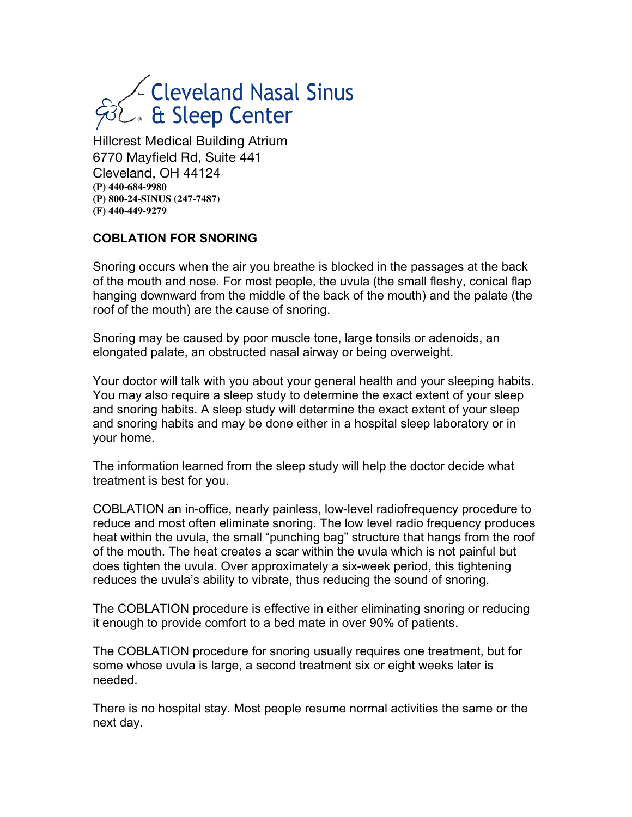# Leveland Nasal Sinus<br>Le & Sleep Center

Hillcrest Medical Building Atrium 6770 Mayfield Rd, Suite 441 Cleveland, OH 44124 **(P) 440-684-9980 (P) 800-24-SINUS (247-7487) (F) 440-449-9279**

#### **COBLATION FOR SNORING**

Snoring occurs when the air you breathe is blocked in the passages at the back of the mouth and nose. For most people, the uvula (the small fleshy, conical flap hanging downward from the middle of the back of the mouth) and the palate (the roof of the mouth) are the cause of snoring.

Snoring may be caused by poor muscle tone, large tonsils or adenoids, an elongated palate, an obstructed nasal airway or being overweight.

Your doctor will talk with you about your general health and your sleeping habits. You may also require a sleep study to determine the exact extent of your sleep and snoring habits. A sleep study will determine the exact extent of your sleep and snoring habits and may be done either in a hospital sleep laboratory or in your home.

The information learned from the sleep study will help the doctor decide what treatment is best for you.

COBLATION an in-office, nearly painless, low-level radiofrequency procedure to reduce and most often eliminate snoring. The low level radio frequency produces heat within the uvula, the small "punching bag" structure that hangs from the roof of the mouth. The heat creates a scar within the uvula which is not painful but does tighten the uvula. Over approximately a six-week period, this tightening reduces the uvula's ability to vibrate, thus reducing the sound of snoring.

The COBLATION procedure is effective in either eliminating snoring or reducing it enough to provide comfort to a bed mate in over 90% of patients.

The COBLATION procedure for snoring usually requires one treatment, but for some whose uvula is large, a second treatment six or eight weeks later is needed.

There is no hospital stay. Most people resume normal activities the same or the next day.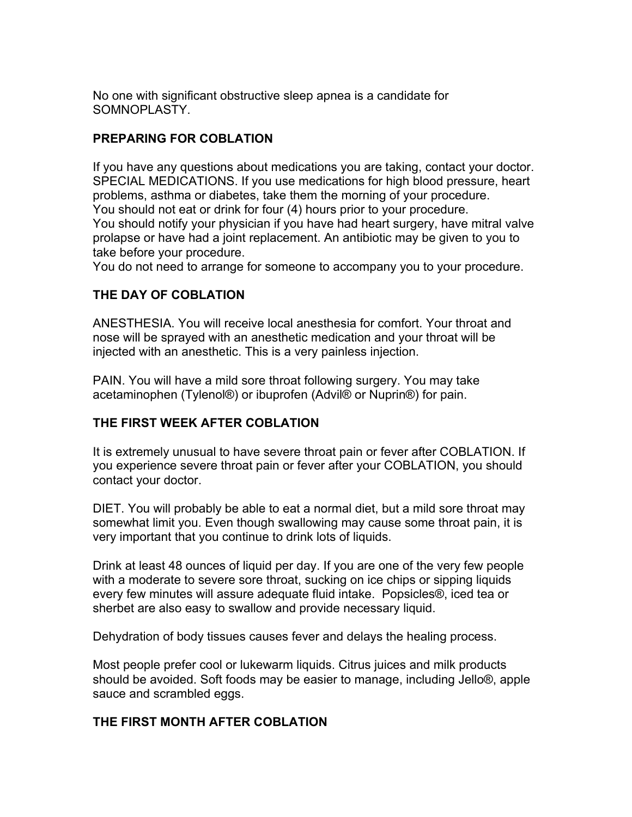No one with significant obstructive sleep apnea is a candidate for SOMNOPLASTY.

### **PREPARING FOR COBLATION**

If you have any questions about medications you are taking, contact your doctor. SPECIAL MEDICATIONS. If you use medications for high blood pressure, heart problems, asthma or diabetes, take them the morning of your procedure. You should not eat or drink for four (4) hours prior to your procedure. You should notify your physician if you have had heart surgery, have mitral valve prolapse or have had a joint replacement. An antibiotic may be given to you to take before your procedure.

You do not need to arrange for someone to accompany you to your procedure.

## **THE DAY OF COBLATION**

ANESTHESIA. You will receive local anesthesia for comfort. Your throat and nose will be sprayed with an anesthetic medication and your throat will be injected with an anesthetic. This is a very painless injection.

PAIN. You will have a mild sore throat following surgery. You may take acetaminophen (Tylenol®) or ibuprofen (Advil® or Nuprin®) for pain.

## **THE FIRST WEEK AFTER COBLATION**

It is extremely unusual to have severe throat pain or fever after COBLATION. If you experience severe throat pain or fever after your COBLATION, you should contact your doctor.

DIET. You will probably be able to eat a normal diet, but a mild sore throat may somewhat limit you. Even though swallowing may cause some throat pain, it is very important that you continue to drink lots of liquids.

Drink at least 48 ounces of liquid per day. If you are one of the very few people with a moderate to severe sore throat, sucking on ice chips or sipping liquids every few minutes will assure adequate fluid intake. Popsicles®, iced tea or sherbet are also easy to swallow and provide necessary liquid.

Dehydration of body tissues causes fever and delays the healing process.

Most people prefer cool or lukewarm liquids. Citrus juices and milk products should be avoided. Soft foods may be easier to manage, including Jello®, apple sauce and scrambled eggs.

#### **THE FIRST MONTH AFTER COBLATION**